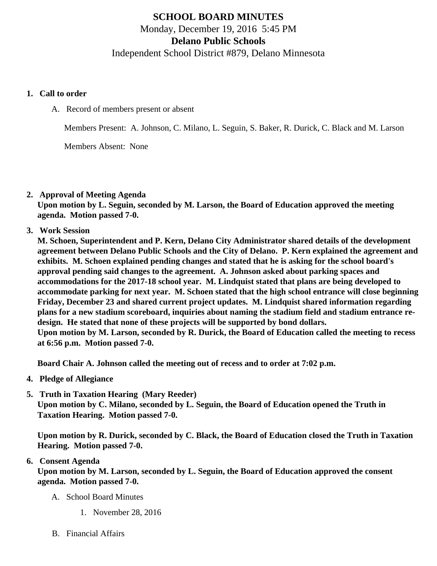# SCHOOL BOARD MINUTES Monday, December 19, 2016 5:45 PM Delano Public Schools Independent School District #879, Delano Minnesota

- 1. Call to order
	- A. Record of members present or absent

Members Present: A. Johnson, C. Milano, L. Seguin, S. Baker, R. Durick, C. Black and M. Larson

Members Absent: None

2. Approval of Meeting Agenda

Upon motion by L. Seguin, seconded by M. Larson, the Board of Education approved the meeting agenda. Motion passed 7-0.

3. Work Session

M. Schoen, Superintendent and P. Kern, Delano City Administrator shared details of the development agreement between Delano Public Schools and the City of Delano. P. Kern explained the agreement and exhibits. M. Schoen explained pending changes and stated that he is asking for the school board's approval pending said changes to the agreement. A. Johnson asked about parking spaces and accommodations for the 2017-18 school year. M. Lindquist stated that plans are being developed to accommodate parking for next year. M. Schoen stated that the high school entrance will close beginning Friday, December 23 and shared current project updates. M. Lindquist shared information regarding plans for a new stadium scoreboard, inquiries about naming the stadium field and stadium entrance redesign. He stated that none of these projects will be supported by bond dollars. Upon motion by M. Larson, seconded by R. Durick, the Board of Education called the meeting to recess at 6:56 p.m. Motion passed 7-0.

Board Chair A. Johnson called the meeting out of recess and to order at 7:02 p.m.

- 4. Pledge of Allegiance
- 5. [Truth in Taxation Hearing](/docs/district/Business_Office/Truth_in_Taxation_Dec_16.pdf) (Mary Reeder)

Upon motion by C. Milano, seconded by L. Seguin, the Board of Education opened the Truth in Taxation Hearing. Motion passed 7-0.

Upon motion by R. Durick, seconded by C. Black, the Board of Education closed the Truth in Taxation Hearing. Motion passed 7-0.

## 6. Consent Agenda

Upon motion by M. Larson, seconded by L. Seguin, the Board of Education approved the consent agenda. Motion passed 7-0.

- A. School Board Minutes
	- 1. [November 28, 201](/docs/district/District_Forms/School_Board_Minutes_11.28.16.pdf)6
- B. Financial Affairs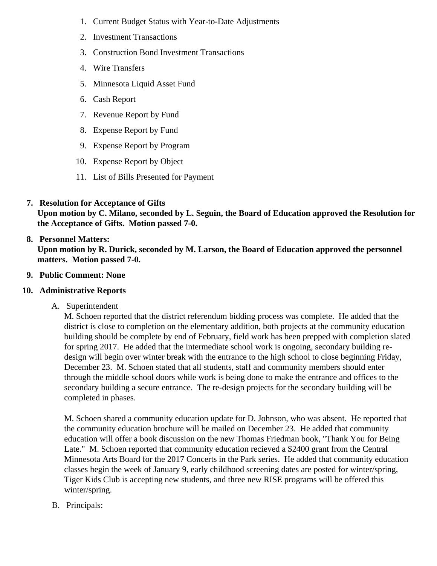- 1. [Current Budget Status with Year-to-Date Adjustm](/docs/district/Business_Office/Budget_Report_Dec_2016.pdf)ents
- 2. [Investment Transactio](/docs/district/Business_Office/Investment_Schedule_November_2016.pdf)ns
- 3. [Construction Bond Investment Transacti](/docs/district/Business_Office/Bond_Investment_schedule_Nov_16.pdf)ons
- 4. [Wire Transfer](/docs/district/Business_Office/Wire_Transfers_November_2016.pdf)s
- 5. [Minnesota Liquid Asset Fun](/docs/district/Business_Office/LAF_November_2016.pdf)d
- 6. [Cash Repo](/docs/district/Business_Office/Cash_Report_November_2016.pdf)rt
- 7. [Revenue Report by Fu](/docs/district/Business_Office/SCHOOL_BOARD_REPORTS_-_REVENUE_BY_FUND_TOTAL__(Date__6_2017).pdf)nd
- 8. [Expense Report by Fu](/docs/district/Business_Office/SCHOOL_BOARD_REPORTS_-_EXP_BY_FUND_TOTAL__(Date__6_2017).pdf)nd
- 9. [Expense Report by Progra](/docs/district/Business_Office/SCHOOL_BOARD_REPORTS_-_EXPENDITURES_BY_PROGRAM__(Date__6_2017).pdf)m
- 10. [Expense Report by Obje](/docs/district/Business_Office/SCHOOL_BOARD_REPORTS_-_EXPENDITURES_BY_OBJECT__(Date__6_2017).pdf)ct
- 11. [List of Bills Presented for Payme](/docs/district/Business_Office/DETAIL_OF_MONTHLY_BILLS_PRESENTED_FOR_PAYMENT_(Dates__11_01_16_-_12_31_16).pdf)nt
- 7. [Resolution for Acceptance of Gifts](/docs/district/Business_Office/Resolution_for_Acceptance_of_Gifts_12.19.16.pdf) Upon motion by C. Milano, seconded by L. Seguin, the Board of Education approved the Resolution for the Acceptance of Gifts. Motion passed 7-0.
- 8. [Personnel Matters:](/httpd/108.61.242.74/www.delano.k12.mn.us/html/ /docs/district/Business_Office/12.19.16.pdf) Upon motion by R. Durick, seconded by M. Larson, the Board of Education approved the personnel matters. Motion passed 7-0.
- 9. Public Comment: None
- 10. Administrative Reports
	- A. Superintendent

M. Schoen reported that the district referendum bidding process was complete. He added that the district is close to completion on the elementary addition, both projects at the community education building should be complete by end of February, field work has been prepped with completion slate for spring 2017. He added that the intermediate school work is ongoing, secondary building redesign will begin over winter break with the entrance to the high school to close beginning Friday, December 23. M. Schoen stated that all students, staff and community members should enter through the middle school doors while work is being done to make the entrance and offices to the secondary building a secure entrance. The re-design projects for the secondary building will be completed in phases.

M. Schoen shared a community education update for D. Johnson, who was absent. He reported that the community education brochure will be mailed on December 23. He added that community education will offer a book discussion on the new Thomas Friedman book, "Thank You for Being Late." M. Schoen reported that community education recieved a \$2400 grant from the Central Minnesota Arts Board for the 2017 Concerts in the Park series. He added that community education classes begin the week of January 9, early childhood screening dates are posted for winter/spring, Tiger Kids Club is accepting new students, and three new RISE programs will be offered this winter/spring.

B. Principals: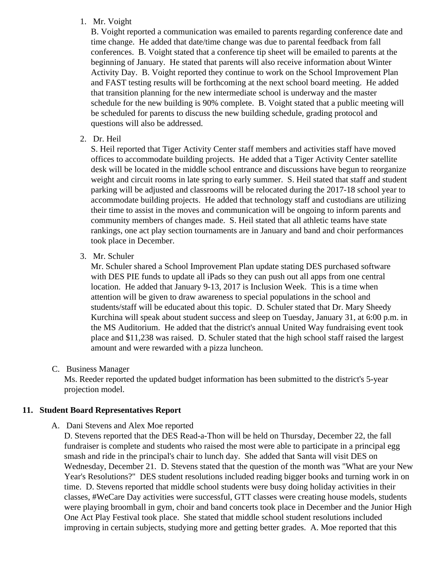#### 1. Mr. Voight

B. Voight reported a communication was emailed to parents regarding conference date and time change. He added that date/time change was due to parental feedback from fall conferences. B. Voight stated that a conference tip sheet will be emailed to parents at the beginning of January. He stated that parents will also receive information about Winter Activity Day. B. Voight reported they continue to work on the School Improvement Plan and FAST testing results will be forthcoming at the next school board meeting. He added that transition planning for the new intermediate school is underway and the master schedule for the new building is 90% complete. B. Voight stated that a public meeting will be scheduled for parents to discuss the new building schedule, grading protocol and questions will also be addressed.

2. Dr. Heil

S. Heil reported that Tiger Activity Center staff members and activities staff have moved offices to accommodate building projects. He added that a Tiger Activity Center satellite desk will be located in the middle school entrance and discussions have begun to reorganize weight and circuit rooms in late spring to early summer. S. Heil stated that staff and student parking will be adjusted and classrooms will be relocated during the 2017-18 school year to accommodate building projects. He added that technology staff and custodians are utilizing their time to assist in the moves and communication will be ongoing to inform parents and community members of changes made. S. Heil stated that all athletic teams have state rankings, one act play section tournaments are in January and band and choir performances took place in December.

3. Mr. Schuler

Mr. Schuler shared a School Improvement Plan update stating DES purchased software with DES PIE funds to update all iPads so they can push out all apps from one central location. He added that January 9-13, 2017 is Inclusion Week. This is a time when attention will be given to draw awareness to special populations in the school and students/staff will be educated about this topic. D. Schuler stated that Dr. Mary Sheedy Kurchina will speak about student success and sleep on Tuesday, January 31, at 6:00 p.m. in the MS Auditorium. He added that the district's annual United Way fundraising event took place and \$11,238 was raised. D. Schuler stated that the high school staff raised the largest amount and were rewarded with a pizza luncheon.

## C. Business Manager

Ms. Reeder reported the updated budget information has been submitted to the district's 5-year projection model.

# **11. Student Board Representatives Report**

## A. Dani Stevens and Alex Moe reported

D. Stevens reported that the DES Read-a-Thon will be held on Thursday, December 22, the fall fundraiser is complete and students who raised the most were able to participate in a principal egg smash and ride in the principal's chair to lunch day. She added that Santa will visit DES on Wednesday, December 21. D. Stevens stated that the question of the month was "What are your New Year's Resolutions?" DES student resolutions included reading bigger books and turning work in on time. D. Stevens reported that middle school students were busy doing holiday activities in their classes, #WeCare Day activities were successful, GTT classes were creating house models, students were playing broomball in gym, choir and band concerts took place in December and the Junior High One Act Play Festival took place. She stated that middle school student resolutions included improving in certain subjects, studying more and getting better grades. A. Moe reported that this